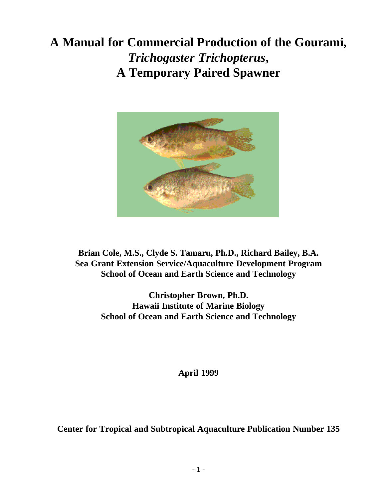# **A Manual for Commercial Production of the Gourami,** *Trichogaster Trichopterus***, A Temporary Paired Spawner**



**Brian Cole, M.S., Clyde S. Tamaru, Ph.D., Richard Bailey, B.A. Sea Grant Extension Service/Aquaculture Development Program School of Ocean and Earth Science and Technology**

> **Christopher Brown, Ph.D. Hawaii Institute of Marine Biology School of Ocean and Earth Science and Technology**

> > **April 1999**

**Center for Tropical and Subtropical Aquaculture Publication Number 135**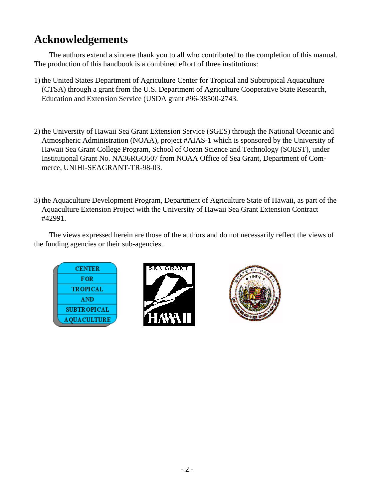## <span id="page-1-0"></span>**Acknowledgements**

The authors extend a sincere thank you to all who contributed to the completion of this manual. The production of this handbook is a combined effort of three institutions:

- 1) the United States Department of Agriculture Center for Tropical and Subtropical Aquaculture (CTSA) through a grant from the U.S. Department of Agriculture Cooperative State Research, Education and Extension Service (USDA grant #96-38500-2743.
- 2) the University of Hawaii Sea Grant Extension Service (SGES) through the National Oceanic and Atmospheric Administration (NOAA), project #AIAS-1 which is sponsored by the University of Hawaii Sea Grant College Program, School of Ocean Science and Technology (SOEST), under Institutional Grant No. NA36RGO507 from NOAA Office of Sea Grant, Department of Commerce, UNIHI-SEAGRANT-TR-98-03.
- 3) the Aquaculture Development Program, Department of Agriculture State of Hawaii, as part of the Aquaculture Extension Project with the University of Hawaii Sea Grant Extension Contract #42991.

The views expressed herein are those of the authors and do not necessarily reflect the views of the funding agencies or their sub-agencies.

| <b>CENTER</b>      |
|--------------------|
| <b>FOR</b>         |
| <b>TROPICAL</b>    |
| AND                |
| <b>SUBTROPICAL</b> |
| <b>AQUACULTURE</b> |



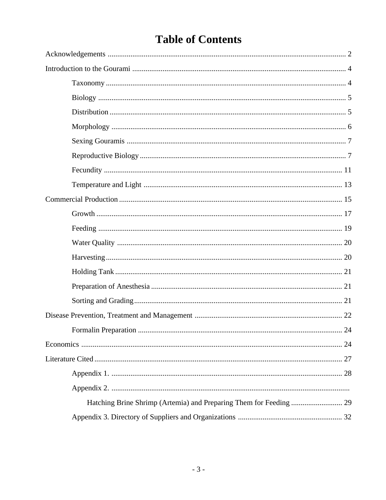# **Table of Contents**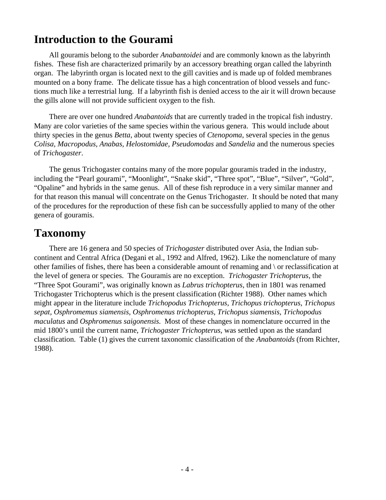## <span id="page-3-0"></span>**Introduction to the Gourami**

All gouramis belong to the suborder *Anabantoidei* and are commonly known as the labyrinth fishes. These fish are characterized primarily by an accessory breathing organ called the labyrinth organ. The labyrinth organ is located next to the gill cavities and is made up of folded membranes mounted on a bony frame. The delicate tissue has a high concentration of blood vessels and functions much like a terrestrial lung. If a labyrinth fish is denied access to the air it will drown because the gills alone will not provide sufficient oxygen to the fish.

There are over one hundred *Anabantoids* that are currently traded in the tropical fish industry. Many are color varieties of the same species within the various genera. This would include about thirty species in the genus *Betta*, about twenty species of *Ctenopoma*, several species in the genus *Colisa, Macropodus, Anabas, Helostomidae, Pseudomodas* and *Sandelia* and the numerous species of *Trichogaster*.

The genus Trichogaster contains many of the more popular gouramis traded in the industry, including the "Pearl gourami", "Moonlight", "Snake skid", "Three spot", "Blue", "Silver", "Gold", "Opaline" and hybrids in the same genus. All of these fish reproduce in a very similar manner and for that reason this manual will concentrate on the Genus Trichogaster. It should be noted that many of the procedures for the reproduction of these fish can be successfully applied to many of the other genera of gouramis.

## **Taxonomy**

There are 16 genera and 50 species of *Trichogaster* distributed over Asia, the Indian subcontinent and Central Africa (Degani et al., 1992 and Alfred, 1962). Like the nomenclature of many other families of fishes, there has been a considerable amount of renaming and \ or reclassification at the level of genera or species. The Gouramis are no exception. *Trichogaster Trichopterus*, the "Three Spot Gourami", was originally known as *Labrus trichopterus*, then in 1801 was renamed Trichogaster Trichopterus which is the present classification (Richter 1988). Other names which might appear in the literature include *Trichopodus Trichopterus, Trichopus trichopterus, Trichopus sepat, Osphromemus siamensis, Osphromenus trichopterus, Trichopus siamensis, Trichopodus maculatus* and *Osphromenus saigonensis*. Most of these changes in nomenclature occurred in the mid 1800's until the current name, *Trichogaster Trichopterus*, was settled upon as the standard classification. Table (1) gives the current taxonomic classification of the *Anabantoids* (from Richter, 1988).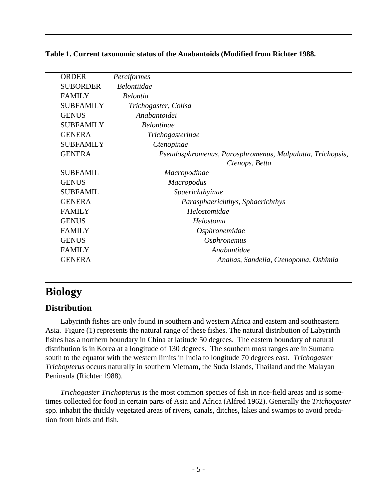| <b>ORDER</b>     | Perciformes                                               |
|------------------|-----------------------------------------------------------|
| <b>SUBORDER</b>  | <i>Belontiidae</i>                                        |
| <b>FAMILY</b>    | <b>Belontia</b>                                           |
| <b>SUBFAMILY</b> | Trichogaster, Colisa                                      |
| <b>GENUS</b>     | Anabantoidei                                              |
| <b>SUBFAMILY</b> | <b>Belontinae</b>                                         |
| <b>GENERA</b>    | Trichogasterinae                                          |
| <b>SUBFAMILY</b> | Ctenopinae                                                |
| <b>GENERA</b>    | Pseudosphromenus, Parosphromenus, Malpulutta, Trichopsis, |
|                  | Ctenops, Betta                                            |
| <b>SUBFAMIL</b>  | <i>Macropodinae</i>                                       |
| <b>GENUS</b>     | <b>Macropodus</b>                                         |
| <b>SUBFAMIL</b>  | Spaerichthyinae                                           |
| <b>GENERA</b>    | Parasphaerichthys, Sphaerichthys                          |
| <b>FAMILY</b>    | Helostomidae                                              |
| <b>GENUS</b>     | Helostoma                                                 |
| <b>FAMILY</b>    | Osphronemidae                                             |
| <b>GENUS</b>     | Osphronemus                                               |
| <b>FAMILY</b>    | Anabantidae                                               |
| <b>GENERA</b>    | Anabas, Sandelia, Ctenopoma, Oshimia                      |
|                  |                                                           |

<span id="page-4-0"></span>**Table 1. Current taxonomic status of the Anabantoids (Modified from Richter 1988.**

## **Biology**

#### **Distribution**

Labyrinth fishes are only found in southern and western Africa and eastern and southeastern Asia. Figure (1) represents the natural range of these fishes. The natural distribution of Labyrinth fishes has a northern boundary in China at latitude 50 degrees. The eastern boundary of natural distribution is in Korea at a longitude of 130 degrees. The southern most ranges are in Sumatra south to the equator with the western limits in India to longitude 70 degrees east. *Trichogaster Trichopterus* occurs naturally in southern Vietnam, the Suda Islands, Thailand and the Malayan Peninsula (Richter 1988).

*Trichogaster Trichopterus* is the most common species of fish in rice-field areas and is sometimes collected for food in certain parts of Asia and Africa (Alfred 1962). Generally the *Trichogaster* spp. inhabit the thickly vegetated areas of rivers, canals, ditches, lakes and swamps to avoid predation from birds and fish.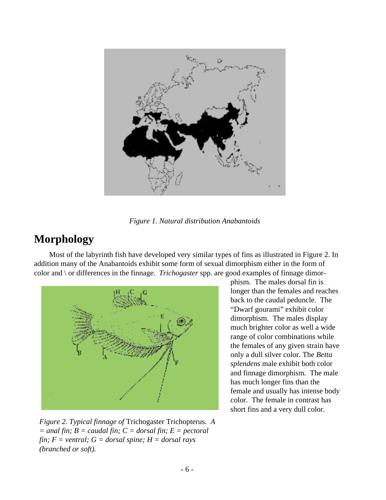<span id="page-5-0"></span>

*Figure 1. Natural distribution Anabantoids*

## **Morphology**

Most of the labyrinth fish have developed very similar types of fins as illustrated in Figure 2. In addition many of the Anabantoids exhibit some form of sexual dimorphism either in the form of color and \ or differences in the finnage. *Trichogaster* spp. are good examples of finnage dimor-



*Figure 2. Typical finnage of* Trichogaster Trichopterus*. A*  $=$  *anal fin; B = caudal fin; C = dorsal fin; E = pectoral fin; F = ventral; G = dorsal spine; H = dorsal rays (branched or soft).*

phism. The males dorsal fin is longer than the females and reaches back to the caudal peduncle. The "Dwarf gourami" exhibit color dimorphism. The males display much brighter color as well a wide range of color combinations while the females of any given strain have only a dull silver color. The *Betta splendens* male exhibit both color and finnage dimorphism. The male has much longer fins than the female and usually has intense body color. The female in contrast has short fins and a very dull color.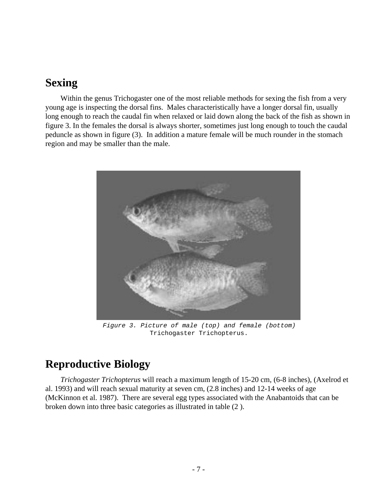### <span id="page-6-0"></span>**Sexing**

Within the genus Trichogaster one of the most reliable methods for sexing the fish from a very young age is inspecting the dorsal fins. Males characteristically have a longer dorsal fin, usually long enough to reach the caudal fin when relaxed or laid down along the back of the fish as shown in figure 3. In the females the dorsal is always shorter, sometimes just long enough to touch the caudal peduncle as shown in figure (3). In addition a mature female will be much rounder in the stomach region and may be smaller than the male.



Figure 3. Picture of male (top) and female (bottom) Trichogaster Trichopterus.

## **Reproductive Biology**

*Trichogaster Trichopterus* will reach a maximum length of 15-20 cm, (6-8 inches), (Axelrod et al. 1993) and will reach sexual maturity at seven cm, (2.8 inches) and 12-14 weeks of age (McKinnon et al. 1987). There are several egg types associated with the Anabantoids that can be broken down into three basic categories as illustrated in table (2 ).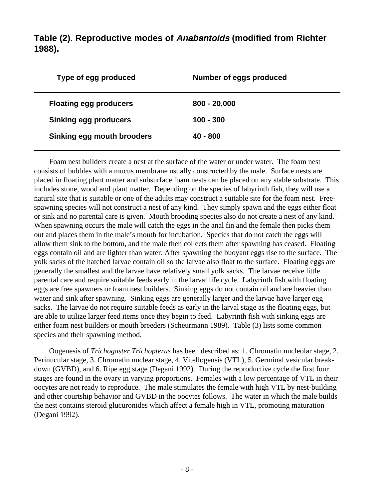**Table (2). Reproductive modes of Anabantoids (modified from Richter 1988).**

| Type of egg produced          | Number of eggs produced |
|-------------------------------|-------------------------|
| <b>Floating egg producers</b> | $800 - 20,000$          |
| <b>Sinking egg producers</b>  | $100 - 300$             |
| Sinking egg mouth brooders    | $40 - 800$              |
|                               |                         |

Foam nest builders create a nest at the surface of the water or under water. The foam nest consists of bubbles with a mucus membrane usually constructed by the male. Surface nests are placed in floating plant matter and subsurface foam nests can be placed on any stable substrate. This includes stone, wood and plant matter. Depending on the species of labyrinth fish, they will use a natural site that is suitable or one of the adults may construct a suitable site for the foam nest. Freespawning species will not construct a nest of any kind. They simply spawn and the eggs either float or sink and no parental care is given. Mouth brooding species also do not create a nest of any kind. When spawning occurs the male will catch the eggs in the anal fin and the female then picks them out and places them in the male's mouth for incubation. Species that do not catch the eggs will allow them sink to the bottom, and the male then collects them after spawning has ceased. Floating eggs contain oil and are lighter than water. After spawning the buoyant eggs rise to the surface. The yolk sacks of the hatched larvae contain oil so the larvae also float to the surface. Floating eggs are generally the smallest and the larvae have relatively small yolk sacks. The larvae receive little parental care and require suitable feeds early in the larval life cycle. Labyrinth fish with floating eggs are free spawners or foam nest builders. Sinking eggs do not contain oil and are heavier than water and sink after spawning. Sinking eggs are generally larger and the larvae have larger egg sacks. The larvae do not require suitable feeds as early in the larval stage as the floating eggs, but are able to utilize larger feed items once they begin to feed. Labyrinth fish with sinking eggs are either foam nest builders or mouth breeders (Scheurmann 1989). Table (3) lists some common species and their spawning method.

Oogenesis of *Trichogaster Trichopterus* has been described as: 1. Chromatin nucleolar stage, 2. Perinucular stage, 3. Chromatin nuclear stage, 4. Vitellogensis (VTL), 5. Germinal vesicular breakdown (GVBD), and 6. Ripe egg stage (Degani 1992). During the reproductive cycle the first four stages are found in the ovary in varying proportions. Females with a low percentage of VTL in their oocytes are not ready to reproduce. The male stimulates the female with high VTL by nest-building and other courtship behavior and GVBD in the oocytes follows. The water in which the male builds the nest contains steroid glucuronides which affect a female high in VTL, promoting maturation (Degani 1992).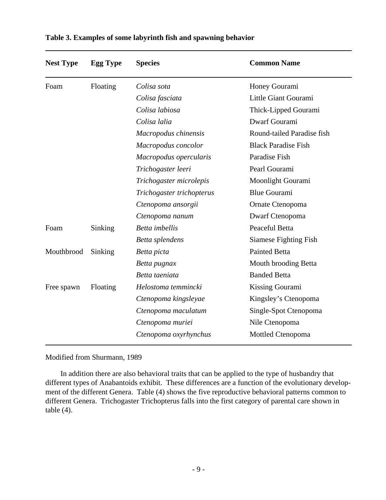| <b>Nest Type</b> | <b>Egg Type</b> | <b>Species</b>            | <b>Common Name</b>         |
|------------------|-----------------|---------------------------|----------------------------|
| Foam             | Floating        | Colisa sota               | Honey Gourami              |
|                  |                 | Colisa fasciata           | Little Giant Gourami       |
|                  |                 | Colisa labiosa            | Thick-Lipped Gourami       |
|                  |                 | Colisa lalia              | Dwarf Gourami              |
|                  |                 | Macropodus chinensis      | Round-tailed Paradise fish |
|                  |                 | Macropodus concolor       | <b>Black Paradise Fish</b> |
|                  |                 | Macropodus opercularis    | Paradise Fish              |
|                  |                 | Trichogaster leeri        | Pearl Gourami              |
|                  |                 | Trichogaster microlepis   | Moonlight Gourami          |
|                  |                 | Trichogaster trichopterus | <b>Blue Gourami</b>        |
|                  |                 | Ctenopoma ansorgii        | Ornate Ctenopoma           |
|                  |                 | Ctenopoma nanum           | Dwarf Ctenopoma            |
| Foam             | Sinking         | Betta imbellis            | Peaceful Betta             |
|                  |                 | Betta splendens           | Siamese Fighting Fish      |
| Mouthbrood       | Sinking         | Betta picta               | <b>Painted Betta</b>       |
|                  |                 | Betta pugnax              | Mouth brooding Betta       |
|                  |                 | Betta taeniata            | <b>Banded Betta</b>        |
| Free spawn       | Floating        | Helostoma temmincki       | Kissing Gourami            |
|                  |                 | Ctenopoma kingsleyae      | Kingsley's Ctenopoma       |
|                  |                 | Ctenopoma maculatum       | Single-Spot Ctenopoma      |
|                  |                 | Ctenopoma muriei          | Nile Ctenopoma             |
|                  |                 | Ctenopoma oxyrhynchus     | Mottled Ctenopoma          |

#### **Table 3. Examples of some labyrinth fish and spawning behavior**

Modified from Shurmann, 1989

In addition there are also behavioral traits that can be applied to the type of husbandry that different types of Anabantoids exhibit. These differences are a function of the evolutionary development of the different Genera. Table (4) shows the five reproductive behavioral patterns common to different Genera. Trichogaster Trichopterus falls into the first category of parental care shown in table  $(4)$ .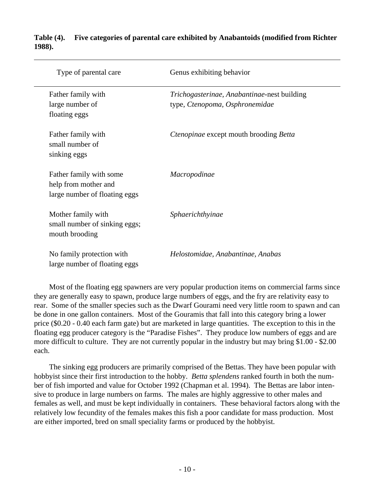| Type of parental care                                                            | Genus exhibiting behavior                                                     |
|----------------------------------------------------------------------------------|-------------------------------------------------------------------------------|
| Father family with<br>large number of<br>floating eggs                           | Trichogasterinae, Anabantinae-nest building<br>type, Ctenopoma, Osphronemidae |
| Father family with<br>small number of<br>sinking eggs                            | Ctenopinae except mouth brooding Betta                                        |
| Father family with some<br>help from mother and<br>large number of floating eggs | Macropodinae                                                                  |
| Mother family with<br>small number of sinking eggs;<br>mouth brooding            | Sphaerichthyinae                                                              |
| No family protection with<br>large number of floating eggs                       | Helostomidae, Anabantinae, Anabas                                             |

#### **Table (4). Five categories of parental care exhibited by Anabantoids (modified from Richter 1988).**

Most of the floating egg spawners are very popular production items on commercial farms since they are generally easy to spawn, produce large numbers of eggs, and the fry are relativity easy to rear. Some of the smaller species such as the Dwarf Gourami need very little room to spawn and can be done in one gallon containers. Most of the Gouramis that fall into this category bring a lower price (\$0.20 - 0.40 each farm gate) but are marketed in large quantities. The exception to this in the floating egg producer category is the "Paradise Fishes". They produce low numbers of eggs and are more difficult to culture. They are not currently popular in the industry but may bring \$1.00 - \$2.00 each.

The sinking egg producers are primarily comprised of the Bettas. They have been popular with hobbyist since their first introduction to the hobby. *Betta splendens* ranked fourth in both the number of fish imported and value for October 1992 (Chapman et al. 1994). The Bettas are labor intensive to produce in large numbers on farms. The males are highly aggressive to other males and females as well, and must be kept individually in containers. These behavioral factors along with the relatively low fecundity of the females makes this fish a poor candidate for mass production. Most are either imported, bred on small speciality farms or produced by the hobbyist.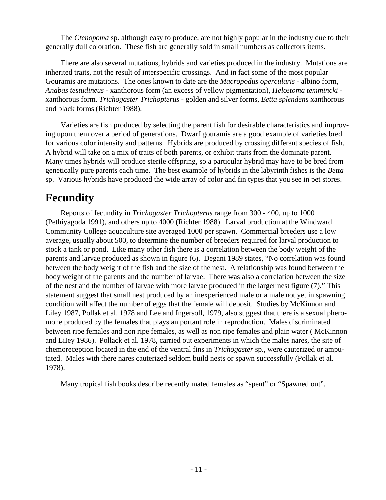<span id="page-10-0"></span>The *Ctenopoma* sp. although easy to produce, are not highly popular in the industry due to their generally dull coloration. These fish are generally sold in small numbers as collectors items.

There are also several mutations, hybrids and varieties produced in the industry. Mutations are inherited traits, not the result of interspecific crossings. And in fact some of the most popular Gouramis are mutations. The ones known to date are the *Macropodus opercularis* - albino form, *Anabas testudineus* - xanthorous form (an excess of yellow pigmentation), *Helostoma temmincki* xanthorous form, *Trichogaster Trichopterus* - golden and silver forms, *Betta splendens* xanthorous and black forms (Richter 1988).

Varieties are fish produced by selecting the parent fish for desirable characteristics and improving upon them over a period of generations. Dwarf gouramis are a good example of varieties bred for various color intensity and patterns. Hybrids are produced by crossing different species of fish. A hybrid will take on a mix of traits of both parents, or exhibit traits from the dominate parent. Many times hybrids will produce sterile offspring, so a particular hybrid may have to be bred from genetically pure parents each time. The best example of hybrids in the labyrinth fishes is the *Betta* sp. Various hybrids have produced the wide array of color and fin types that you see in pet stores.

## **Fecundity**

Reports of fecundity in *Trichogaster Trichopterus* range from 300 - 400, up to 1000 (Pethiyagoda 1991), and others up to 4000 (Richter 1988). Larval production at the Windward Community College aquaculture site averaged 1000 per spawn. Commercial breeders use a low average, usually about 500, to determine the number of breeders required for larval production to stock a tank or pond. Like many other fish there is a correlation between the body weight of the parents and larvae produced as shown in figure (6). Degani 1989 states, "No correlation was found between the body weight of the fish and the size of the nest. A relationship was found between the body weight of the parents and the number of larvae. There was also a correlation between the size of the nest and the number of larvae with more larvae produced in the larger nest figure (7)." This statement suggest that small nest produced by an inexperienced male or a male not yet in spawning condition will affect the number of eggs that the female will deposit. Studies by McKinnon and Liley 1987, Pollak et al. 1978 and Lee and Ingersoll, 1979, also suggest that there is a sexual pheromone produced by the females that plays an portant role in reproduction. Males discriminated between ripe females and non ripe females, as well as non ripe females and plain water ( McKinnon and LiIey 1986). Pollack et al. 1978, carried out experiments in which the males nares, the site of chemoreception located in the end of the ventral fins in *Trichogaster* sp., were cauterized or amputated. Males with there nares cauterized seldom build nests or spawn successfully (Pollak et al. 1978).

Many tropical fish books describe recently mated females as "spent" or "Spawned out".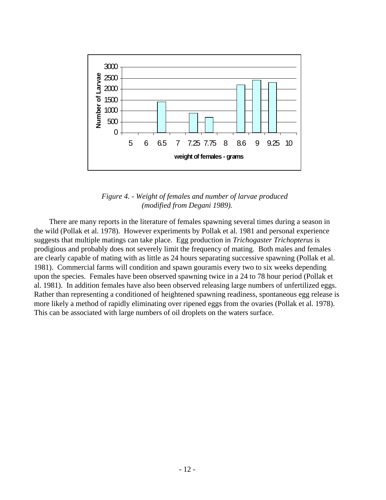

*Figure 4. - Weight of females and number of larvae produced (modified from Degani 1989).*

There are many reports in the literature of females spawning several times during a season in the wild (Pollak et al. 1978). However experiments by Pollak et al. 1981 and personal experience suggests that multiple matings can take place. Egg production in *Trichogaster Trichopterus* is prodigious and probably does not severely limit the frequency of mating. Both males and females are clearly capable of mating with as little as 24 hours separating successive spawning (Pollak et al. 1981). Commercial farms will condition and spawn gouramis every two to six weeks depending upon the species. Females have been observed spawning twice in a 24 to 78 hour period (Pollak et al. 1981). In addition females have also been observed releasing large numbers of unfertilized eggs. Rather than representing a conditioned of heightened spawning readiness, spontaneous egg release is more likely a method of rapidly eliminating over ripened eggs from the ovaries (Pollak et al. 1978). This can be associated with large numbers of oil droplets on the waters surface.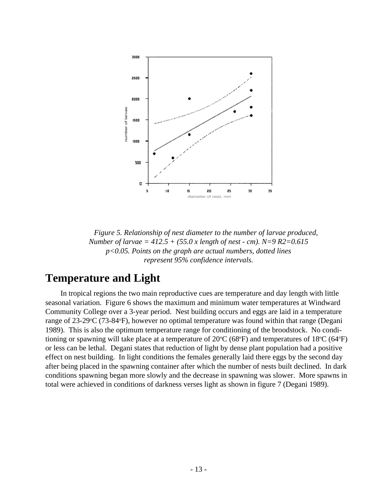<span id="page-12-0"></span>

*Figure 5. Relationship of nest diameter to the number of larvae produced, Number of larvae = 412.5 + (55.0 x length of nest - cm). N=9 R2=0.615 p<0.05. Points on the graph are actual numbers, dotted lines represent 95% confidence intervals.*

### **Temperature and Light**

In tropical regions the two main reproductive cues are temperature and day length with little seasonal variation. Figure 6 shows the maximum and minimum water temperatures at Windward Community College over a 3-year period. Nest building occurs and eggs are laid in a temperature range of 23-29°C (73-84°F), however no optimal temperature was found within that range (Degani 1989). This is also the optimum temperature range for conditioning of the broodstock. No conditioning or spawning will take place at a temperature of  $20^{\circ}C$  (68°F) and temperatures of 18°C (64°F) or less can be lethal. Degani states that reduction of light by dense plant population had a positive effect on nest building. In light conditions the females generally laid there eggs by the second day after being placed in the spawning container after which the number of nests built declined. In dark conditions spawning began more slowly and the decrease in spawning was slower. More spawns in total were achieved in conditions of darkness verses light as shown in figure 7 (Degani 1989).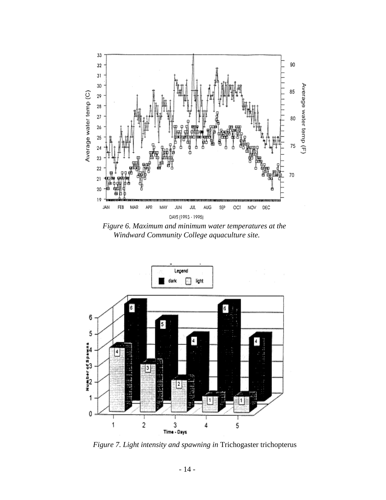

*Figure 6. Maximum and minimum water temperatures at the Windward Community College aquaculture site.*



*Figure 7. Light intensity and spawning in* Trichogaster trichopterus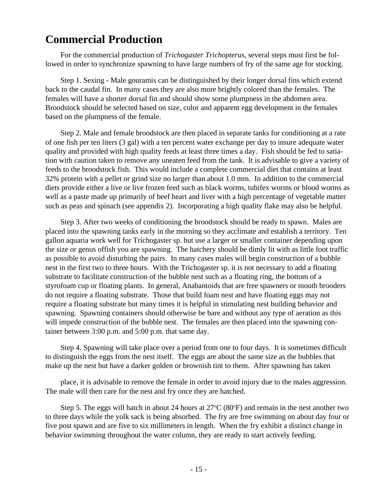## <span id="page-14-0"></span>**Commercial Production**

For the commercial production of *Trichogaster Trichopterus*, several steps must first be followed in order to synchronize spawning to have large numbers of fry of the same age for stocking.

Step 1. Sexing - Male gouramis can be distinguished by their longer dorsal fins which extend back to the caudal fin. In many cases they are also more brightly colored than the females. The females will have a shorter dorsal fin and should show some plumpness in the abdomen area. Broodstock should be selected based on size, color and apparent egg development in the females based on the plumpness of the female.

Step 2. Male and female broodstock are then placed in separate tanks for conditioning at a rate of one fish per ten liters (3 gal) with a ten percent water exchange per day to insure adequate water quality and provided with high quality feeds at least three times a day. Fish should be fed to satiation with caution taken to remove any uneaten feed from the tank. It is advisable to give a variety of feeds to the broodstock fish. This would include a complete commercial diet that contains at least 32% protein with a pellet or grind size no larger than about 1.0 mm. In addition to the commercial diets provide either a live or live frozen feed such as black worms, tubifex worms or blood worms as well as a paste made up primarily of beef heart and liver with a high percentage of vegetable matter such as peas and spinach (see appendix 2). Incorporating a high quality flake may also be helpful.

Step 3. After two weeks of conditioning the broodstock should be ready to spawn. Males are placed into the spawning tanks early in the morning so they acclimate and establish a territory. Ten gallon aquaria work well for Trichogaster sp. but use a larger or smaller container depending upon the size or genus offish you are spawning. The hatchery should be dimly lit with as little foot traffic as possible to avoid disturbing the pairs. In many cases males will begin construction of a bubble nest in the first two to three hours. With the Trichogaster sp. it is not necessary to add a floating substrate to facilitate construction of the bubble nest such as a floating ring, the bottom of a styrofoam cup or floating plants. In general, Anabantoids that are free spawners or mouth brooders do not require a floating substrate. Those that build foam nest and have floating eggs may not require a floating substrate but many times it is helpful in stimulating nest building behavior and spawning. Spawning containers should otherwise be bare and without any type of aeration as this will impede construction of the bubble nest. The females are then placed into the spawning container between 3:00 p.m. and 5:00 p.m. that same day.

Step 4. Spawning will take place over a period from one to four days. It is sometimes difficult to distinguish the eggs from the nest itself. The eggs are about the same size as the bubbles that make up the nest but have a darker golden or brownish tint to them. After spawning has taken

place, it is advisable to remove the female in order to avoid injury due to the males aggression. The male will then care for the nest and fry once they are hatched.

Step 5. The eggs will hatch in about 24 hours at  $27^{\circ}C$  (80 $^{\circ}F$ ) and remain in the nest another two to three days while the yolk sack is being absorbed. The fry are free swimming on about day four or five post spawn and are five to six millimeters in length. When the fry exhibit a distinct change in behavior swimming throughout the water column, they are ready to start actively feeding.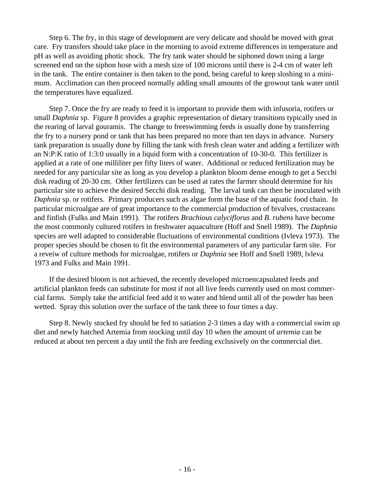Step 6. The fry, in this stage of development are very delicate and should be moved with great care. Fry transfers should take place in the morning to avoid extreme differences in temperature and pH as well as avoiding photic shock. The fry tank water should be siphoned down using a large screened end on the siphon hose with a mesh size of 100 microns until there is 2-4 cm of water left in the tank. The entire container is then taken to the pond, being careful to keep sloshing to a minimum. Acclimation can then proceed normally adding small amounts of the growout tank water until the temperatures have equalized.

Step 7. Once the fry are ready to feed it is important to provide them with infusoria, rotifers or small *Daphnia* sp. Figure 8 provides a graphic representation of dietary transitions typically used in the rearing of larval gouramis. The change to freeswimming feeds is usually done by transferring the fry to a nursery pond or tank that has been prepared no more than ten days in advance. Nursery tank preparation is usually done by filling the tank with fresh clean water and adding a fertilizer with an N:P:K ratio of 1:3:0 usually in a liquid form with a concentration of 10-30-0. This fertilizer is applied at a rate of one milliliter per fifty liters of water. Additional or reduced fertilization may be needed for any particular site as long as you develop a plankton bloom dense enough to get a Secchi disk reading of 20-30 cm. Other fertilizers can be used at rates the farmer should determine for his particular site to achieve the desired Secchi disk reading. The larval tank can then be inoculated with *Daphnia* sp. or rotifers. Primary producers such as algae form the base of the aquatic food chain. In particular microalgae are of great importance to the commercial production of bivalves, crustaceans and finfish (Fulks and Main 1991). The rotifers *Brachious calyciflorus* and *B. rubens* have become the most commonly cultured rotifers in freshwater aquaculture (Hoff and Snell 1989). The *Daphnia* species are well adapted to considerable fluctuations of environmental conditions (Ivleva 1973). The proper species should be chosen to fit the environmental parameters of any particular farm site. For a reveiw of culture methods for microalgae, rotifers or *Daphnia* see Hoff and Snell 1989, lvleva 1973 and Fulks and Main 1991.

If the desired bloom is not achieved, the recently developed microencapsulated feeds and artificial plankton feeds can substitute for most if not all live feeds currently used on most commercial farms. Simply take the artificial feed add it to water and blend until all of the powder has been wetted. Spray this solution over the surface of the tank three to four times a day.

Step 8. Newly stocked fry should be fed to satiation 2-3 times a day with a commercial swim up diet and newly hatched Artemia from stocking until day 10 when the amount of *artemia* can be reduced at about ten percent a day until the fish are feeding exclusively on the commercial diet.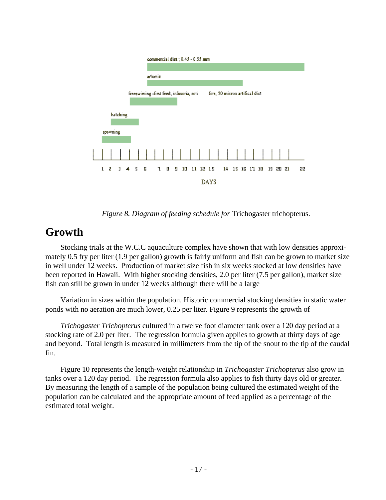<span id="page-16-0"></span>

*Figure 8. Diagram of feeding schedule for* Trichogaster trichopterus.

## **Growth**

Stocking trials at the W.C.C aquaculture complex have shown that with low densities approximately 0.5 fry per liter (1.9 per gallon) growth is fairly uniform and fish can be grown to market size in well under 12 weeks. Production of market size fish in six weeks stocked at low densities have been reported in Hawaii. With higher stocking densities, 2.0 per liter (7.5 per gallon), market size fish can still be grown in under 12 weeks although there will be a large

Variation in sizes within the population. Historic commercial stocking densities in static water ponds with no aeration are much lower, 0.25 per liter. Figure 9 represents the growth of

*Trichogaster Trichopterus* cultured in a twelve foot diameter tank over a 120 day period at a stocking rate of 2.0 per liter. The regression formula given applies to growth at thirty days of age and beyond. Total length is measured in millimeters from the tip of the snout to the tip of the caudal fin.

Figure 10 represents the length-weight relationship in *Trichogaster Trichopterus* also grow in tanks over a 120 day period. The regression formula also applies to fish thirty days old or greater. By measuring the length of a sample of the population being cultured the estimated weight of the population can be calculated and the appropriate amount of feed applied as a percentage of the estimated total weight.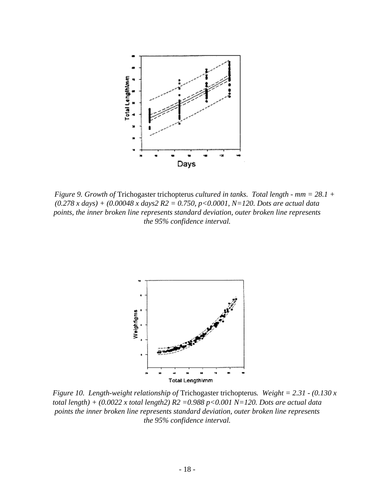

*Figure 9. Growth of* Trichogaster trichopterus *cultured in tanks. Total length - mm = 28.1 + (0.278 x days) + (0.00048 x days2 R2 = 0.750, p<0.0001, N=120. Dots are actual data points, the inner broken line represents standard deviation, outer broken line represents the 95% confidence interval.*



*Figure 10. Length-weight relationship of* Trichogaster trichopterus*. Weight = 2.31 - (0.130 x total length) + (0.0022 x total length2) R2 =0.988 p<0.001 N=120. Dots are actual data points the inner broken line represents standard deviation, outer broken line represents the 95% confidence interval.*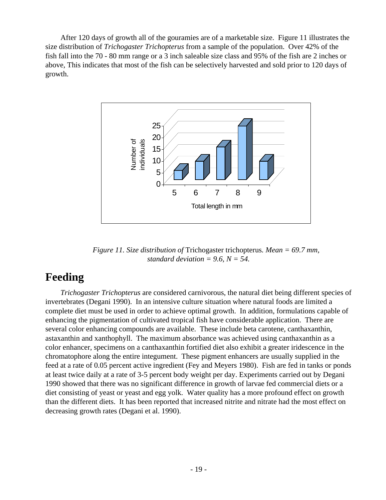<span id="page-18-0"></span>After 120 days of growth all of the gouramies are of a marketable size. Figure 11 illustrates the size distribution of *Trichogaster Trichopterus* from a sample of the population. Over 42% of the fish fall into the 70 - 80 mm range or a 3 inch saleable size class and 95% of the fish are 2 inches or above, This indicates that most of the fish can be selectively harvested and sold prior to 120 days of growth.



*Figure 11. Size distribution of* Trichogaster trichopterus*. Mean = 69.7 mm, standard deviation = 9.6, N = 54.* 

## **Feeding**

*Trichogaster Trichopterus* are considered carnivorous, the natural diet being different species of invertebrates (Degani 1990). In an intensive culture situation where natural foods are limited a complete diet must be used in order to achieve optimal growth. In addition, formulations capable of enhancing the pigmentation of cultivated tropical fish have considerable application. There are several color enhancing compounds are available. These include beta carotene, canthaxanthin, astaxanthin and xanthophyll. The maximum absorbance was achieved using canthaxanthin as a color enhancer, specimens on a canthaxanthin fortified diet also exhibit a greater iridescence in the chromatophore along the entire integument. These pigment enhancers are usually supplied in the feed at a rate of 0.05 percent active ingredient (Fey and Meyers 1980). Fish are fed in tanks or ponds at least twice daily at a rate of 3-5 percent body weight per day. Experiments carried out by Degani 1990 showed that there was no significant difference in growth of larvae fed commercial diets or a diet consisting of yeast or yeast and egg yolk. Water quality has a more profound effect on growth than the different diets. It has been reported that increased nitrite and nitrate had the most effect on decreasing growth rates (Degani et al. 1990).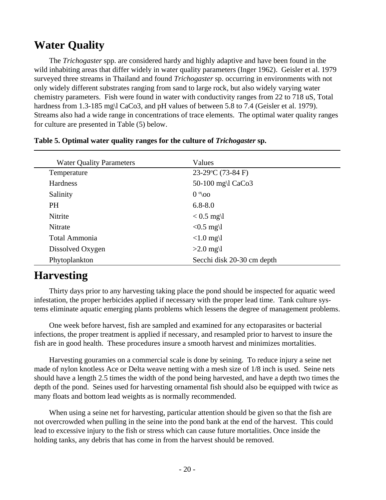## <span id="page-19-0"></span>**Water Quality**

The *Trichogaster* spp. are considered hardy and highly adaptive and have been found in the wild inhabiting areas that differ widely in water quality parameters (Inger 1962). Geisler et al. 1979 surveyed three streams in Thailand and found *Trichogaster* sp. occurring in environments with not only widely different substrates ranging from sand to large rock, but also widely varying water chemistry parameters. Fish were found in water with conductivity ranges from 22 to 718 uS, Total hardness from 1.3-185 mg\l CaCo3, and pH values of between 5.8 to 7.4 (Geisler et al. 1979). Streams also had a wide range in concentrations of trace elements. The optimal water quality ranges for culture are presented in Table (5) below.

| <b>Water Quality Parameters</b> | Values                     |  |
|---------------------------------|----------------------------|--|
| Temperature                     | 23-29°C (73-84 F)          |  |
| Hardness                        | 50-100 mg\l CaCo3          |  |
| Salinity                        | $0^{\circ}$ 00             |  |
| <b>PH</b>                       | $6.8 - 8.0$                |  |
| Nitrite                         | $< 0.5$ mg\l               |  |
| Nitrate                         | $< 0.5$ mg\l               |  |
| <b>Total Ammonia</b>            | $<1.0$ mg\l                |  |
| Dissolved Oxygen                | $>2.0$ mg\l                |  |
| Phytoplankton                   | Secchi disk 20-30 cm depth |  |

#### **Table 5. Optimal water quality ranges for the culture of** *Trichogaster* **sp.**

## **Harvesting**

Thirty days prior to any harvesting taking place the pond should be inspected for aquatic weed infestation, the proper herbicides applied if necessary with the proper lead time. Tank culture systems eliminate aquatic emerging plants problems which lessens the degree of management problems.

One week before harvest, fish are sampled and examined for any ectoparasites or bacterial infections, the proper treatment is applied if necessary, and resampled prior to harvest to insure the fish are in good health. These procedures insure a smooth harvest and minimizes mortalities.

Harvesting gouramies on a commercial scale is done by seining. To reduce injury a seine net made of nylon knotless Ace or Delta weave netting with a mesh size of 1/8 inch is used. Seine nets should have a length 2.5 times the width of the pond being harvested, and have a depth two times the depth of the pond. Seines used for harvesting ornamental fish should also be equipped with twice as many floats and bottom lead weights as is normally recommended.

When using a seine net for harvesting, particular attention should be given so that the fish are not overcrowded when pulling in the seine into the pond bank at the end of the harvest. This could lead to excessive injury to the fish or stress which can cause future mortalities. Once inside the holding tanks, any debris that has come in from the harvest should be removed.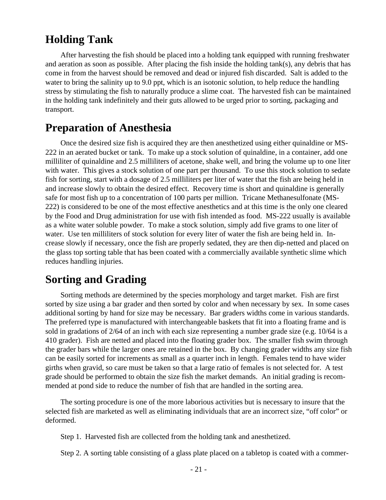## <span id="page-20-0"></span>**Holding Tank**

After harvesting the fish should be placed into a holding tank equipped with running freshwater and aeration as soon as possible. After placing the fish inside the holding tank(s), any debris that has come in from the harvest should be removed and dead or injured fish discarded. Salt is added to the water to bring the salinity up to 9.0 ppt, which is an isotonic solution, to help reduce the handling stress by stimulating the fish to naturally produce a slime coat. The harvested fish can be maintained in the holding tank indefinitely and their guts allowed to be urged prior to sorting, packaging and transport.

### **Preparation of Anesthesia**

Once the desired size fish is acquired they are then anesthetized using either quinaldine or MS-222 in an aerated bucket or tank. To make up a stock solution of quinaldine, in a container, add one milliliter of quinaldine and 2.5 milliliters of acetone, shake well, and bring the volume up to one liter with water. This gives a stock solution of one part per thousand. To use this stock solution to sedate fish for sorting, start with a dosage of 2.5 milliliters per liter of water that the fish are being held in and increase slowly to obtain the desired effect. Recovery time is short and quinaldine is generally safe for most fish up to a concentration of 100 parts per million. Tricane Methanesulfonate (MS-222) is considered to be one of the most effective anesthetics and at this time is the only one cleared by the Food and Drug administration for use with fish intended as food. MS-222 usually is available as a white water soluble powder. To make a stock solution, simply add five grams to one liter of water. Use ten milliliters of stock solution for every liter of water the fish are being held in. Increase slowly if necessary, once the fish are properly sedated, they are then dip-netted and placed on the glass top sorting table that has been coated with a commercially available synthetic slime which reduces handling injuries.

## **Sorting and Grading**

Sorting methods are determined by the species morphology and target market. Fish are first sorted by size using a bar grader and then sorted by color and when necessary by sex. In some cases additional sorting by hand for size may be necessary. Bar graders widths come in various standards. The preferred type is manufactured with interchangeable baskets that fit into a floating frame and is sold in gradations of 2/64 of an inch with each size representing a number grade size (e.g. 10/64 is a 410 grader). Fish are netted and placed into the floating grader box. The smaller fish swim through the grader bars while the larger ones are retained in the box. By changing grader widths any size fish can be easily sorted for increments as small as a quarter inch in length. Females tend to have wider girths when gravid, so care must be taken so that a large ratio of females is not selected for. A test grade should be performed to obtain the size fish the market demands. An initial grading is recommended at pond side to reduce the number of fish that are handled in the sorting area.

The sorting procedure is one of the more laborious activities but is necessary to insure that the selected fish are marketed as well as eliminating individuals that are an incorrect size, "off color" or deformed.

Step 1. Harvested fish are collected from the holding tank and anesthetized.

Step 2. A sorting table consisting of a glass plate placed on a tabletop is coated with a commer-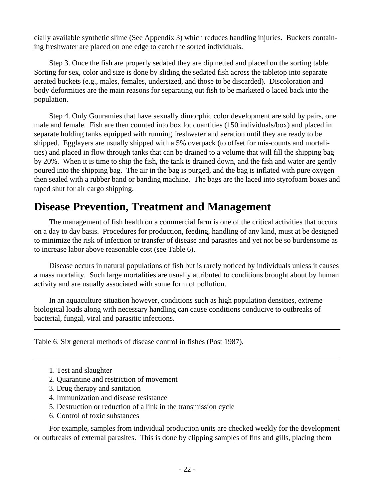<span id="page-21-0"></span>cially available synthetic slime (See Appendix 3) which reduces handling injuries. Buckets containing freshwater are placed on one edge to catch the sorted individuals.

Step 3. Once the fish are properly sedated they are dip netted and placed on the sorting table. Sorting for sex, color and size is done by sliding the sedated fish across the tabletop into separate aerated buckets (e.g., males, females, undersized, and those to be discarded). Discoloration and body deformities are the main reasons for separating out fish to be marketed o laced back into the population.

Step 4. Only Gouramies that have sexually dimorphic color development are sold by pairs, one male and female. Fish are then counted into box lot quantities (150 individuals/box) and placed in separate holding tanks equipped with running freshwater and aeration until they are ready to be shipped. Egglayers are usually shipped with a 5% overpack (to offset for mis-counts and mortalities) and placed in flow through tanks that can be drained to a volume that will fill the shipping bag by 20%. When it is time to ship the fish, the tank is drained down, and the fish and water are gently poured into the shipping bag. The air in the bag is purged, and the bag is inflated with pure oxygen then sealed with a rubber band or banding machine. The bags are the laced into styrofoam boxes and taped shut for air cargo shipping.

## **Disease Prevention, Treatment and Management**

The management of fish health on a commercial farm is one of the critical activities that occurs on a day to day basis. Procedures for production, feeding, handling of any kind, must at be designed to minimize the risk of infection or transfer of disease and parasites and yet not be so burdensome as to increase labor above reasonable cost (see Table 6).

Disease occurs in natural populations of fish but is rarely noticed by individuals unless it causes a mass mortality. Such large mortalities are usually attributed to conditions brought about by human activity and are usually associated with some form of pollution.

In an aquaculture situation however, conditions such as high population densities, extreme biological loads along with necessary handling can cause conditions conducive to outbreaks of bacterial, fungal, viral and parasitic infections.

Table 6. Six general methods of disease control in fishes (Post 1987).

- 1. Test and slaughter
- 2. Quarantine and restriction of movement
- 3. Drug therapy and sanitation
- 4. Immunization and disease resistance
- 5. Destruction or reduction of a link in the transmission cycle
- 6. Control of toxic substances

For example, samples from individual production units are checked weekly for the development or outbreaks of external parasites. This is done by clipping samples of fins and gills, placing them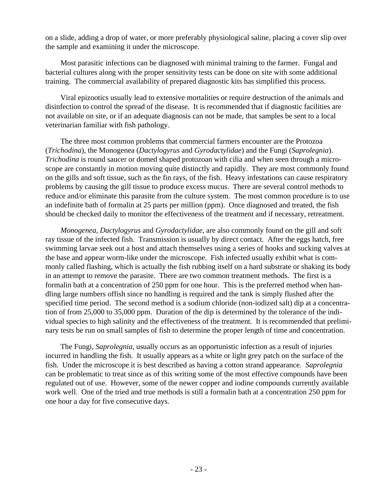on a slide, adding a drop of water, or more preferably physiological saline, placing a cover slip over the sample and examining it under the microscope.

Most parasitic infections can be diagnosed with minimal training to the farmer. Fungal and bacterial cultures along with the proper sensitivity tests can be done on site with some additional training. The commercial availability of prepared diagnostic kits has simplified this process.

Viral epizootics usually lead to extensive mortalities or require destruction of the animals and disinfection to control the spread of the disease. It is recommended that if diagnostic facilities are not available on site, or if an adequate diagnosis can not be made, that samples be sent to a local veterinarian familiar with fish pathology.

The three most common problems that commercial farmers encounter are the Protozoa (*Trichodina*), the Monogenea (*Dactylogyrus* and *Gyrodactylidae*) and the Fungi (*Saprolegnia*). *Trichodina* is round saucer or domed shaped protozoan with cilia and when seen through a microscope are constantly in motion moving quite distinctly and rapidly. They are most commonly found on the gills and soft tissue, such as the fin rays, of the fish. Heavy infestations can cause respiratory problems by causing the gill tissue to produce excess mucus. There are several control methods to reduce and/or eliminate this parasite from the culture system. The most common procedure is to use an indefinite bath of formalin at 25 parts per million (ppm). Once diagnosed and treated, the fish should be checked daily to monitor the effectiveness of the treatment and if necessary, retreatment.

*Monogenea, Dactylogyrus* and *Gyrodactylidae*, are also commonly found on the gill and soft ray tissue of the infected fish. Transmission is usually by direct contact. After the eggs hatch, free swimming larvae seek out a host and attach themselves using a series of hooks and sucking valves at the base and appear worm-like under the microscope. Fish infected usually exhibit what is commonly called flashing, which is actually the fish rubbing itself on a hard substrate or shaking its body in an attempt to remove the parasite. There are two common treatment methods. The first is a formalin bath at a concentration of 250 ppm for one hour. This is the preferred method when handling large numbers offish since no handling is required and the tank is simply flushed after the specified time period. The second method is a sodium chloride (non-iodized salt) dip at a concentration of from 25,000 to 35,000 ppm. Duration of the dip is determined by the tolerance of the individual species to high salinity and the effectiveness of the treatment. It is recommended that preliminary tests be run on small samples of fish to determine the proper length of time and concentration.

The Fungi, *Saprolegnia*, usually occurs as an opportunistic infection as a result of injuries incurred in handling the fish. It usually appears as a white or light grey patch on the surface of the fish. Under the microscope it is best described as having a cotton strand appearance. *Saprolegnia* can be problematic to treat since as of this writing some of the most effective compounds have been regulated out of use. However, some of the newer copper and iodine compounds currently available work well. One of the tried and true methods is still a formalin bath at a concentration 250 ppm for one hour a day for five consecutive days.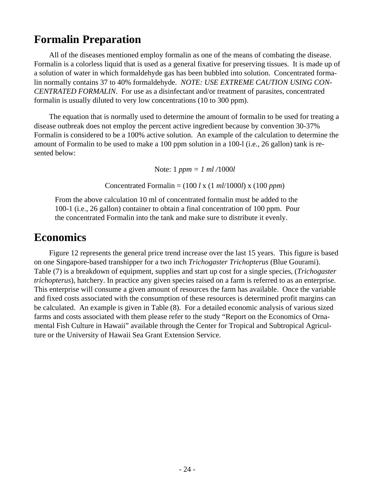## <span id="page-23-0"></span>**Formalin Preparation**

All of the diseases mentioned employ formalin as one of the means of combating the disease. Formalin is a colorless liquid that is used as a general fixative for preserving tissues. It is made up of a solution of water in which formaldehyde gas has been bubbled into solution. Concentrated formalin normally contains 37 to 40% formaldehyde. *NOTE: USE EXTREME CAUTION USING CON-CENTRATED FORMALIN*. For use as a disinfectant and/or treatment of parasites, concentrated formalin is usually diluted to very low concentrations (10 to 300 ppm).

The equation that is normally used to determine the amount of formalin to be used for treating a disease outbreak does not employ the percent active ingredient because by convention 30-37% Formalin is considered to be a 100% active solution. An example of the calculation to determine the amount of Formalin to be used to make a 100 ppm solution in a 100-l (i.e., 26 gallon) tank is resented below:

Note: 1 *ppm = 1 ml /*1000*l*

Concentrated Formalin = (100 *l* x (1 *ml*/1000*l*) x (100 *ppm*)

From the above calculation 10 ml of concentrated formalin must be added to the 100-1 (i.e., 26 gallon) container to obtain a final concentration of 100 ppm. Pour the concentrated Formalin into the tank and make sure to distribute it evenly.

## **Economics**

Figure 12 represents the general price trend increase over the last 15 years. This figure is based on one Singapore-based transhipper for a two inch *Trichogaster Trichopterus* (Blue Gourami). Table (7) is a breakdown of equipment, supplies and start up cost for a single species, (*Trichogaster trichopterus*), hatchery. In practice any given species raised on a farm is referred to as an enterprise. This enterprise will consume a given amount of resources the farm has available. Once the variable and fixed costs associated with the consumption of these resources is determined profit margins can be calculated. An example is given in Table (8). For a detailed economic analysis of various sized farms and costs associated with them please refer to the study "Report on the Economics of Ornamental Fish Culture in Hawaii" available through the Center for Tropical and Subtropical Agriculture or the University of Hawaii Sea Grant Extension Service.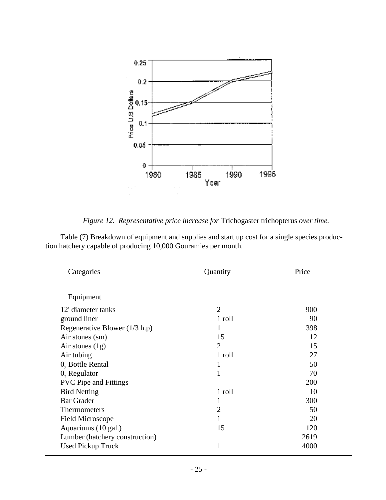

*Figure 12. Representative price increase for* Trichogaster trichopterus *over time.*

Table (7) Breakdown of equipment and supplies and start up cost for a single species production hatchery capable of producing 10,000 Gouramies per month.

| Categories                      | Quantity       | Price |
|---------------------------------|----------------|-------|
| Equipment                       |                |       |
| 12' diameter tanks              | $\overline{2}$ | 900   |
| ground liner                    | 1 roll         | 90    |
| Regenerative Blower $(1/3 h.p)$ |                | 398   |
| Air stones (sm)                 | 15             | 12    |
| Air stones $(1g)$               | 2              | 15    |
| Air tubing                      | 1 roll         | 27    |
| $0$ , Bottle Rental             | 1              | 50    |
| $0$ , Regulator                 | 1              | 70    |
| <b>PVC Pipe and Fittings</b>    |                | 200   |
| <b>Bird Netting</b>             | 1 roll         | 10    |
| <b>Bar Grader</b>               | 1              | 300   |
| <b>Thermometers</b>             | $\overline{2}$ | 50    |
| <b>Field Microscope</b>         |                | 20    |
| Aquariums (10 gal.)             | 15             | 120   |
| Lumber (hatchery construction)  |                | 2619  |
| <b>Used Pickup Truck</b>        | 1              | 4000  |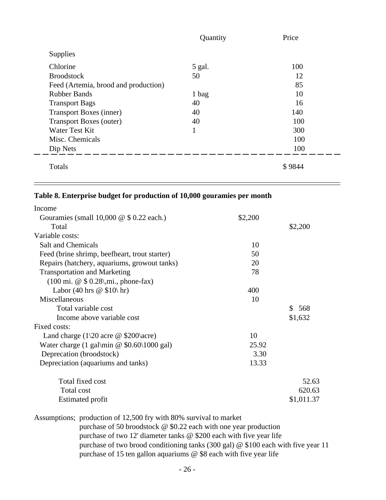|                                      | Quantity     | Price  |
|--------------------------------------|--------------|--------|
| <b>Supplies</b>                      |              |        |
| Chlorine                             | 5 gal.       | 100    |
| <b>Broodstock</b>                    | 50           | 12     |
| Feed (Artemia, brood and production) |              | 85     |
| <b>Rubber Bands</b>                  | 1 bag        | 10     |
| <b>Transport Bags</b>                | 40           | 16     |
| <b>Transport Boxes (inner)</b>       | 40           | 140    |
| <b>Transport Boxes (outer)</b>       | 40           | 100    |
| Water Test Kit                       | $\mathbf{1}$ | 300    |
| Misc. Chemicals                      |              | 100    |
| Dip Nets                             |              | 100    |
| Totals                               |              | \$9844 |

Ξ

### **Table 8. Enterprise budget for production of 10,000 gouramies per month**

 $\overline{\phantom{0}}$ 

| Income                                                                                                                                                |         |                     |
|-------------------------------------------------------------------------------------------------------------------------------------------------------|---------|---------------------|
| Gouramies (small $10,000 \& 0.22$ each.)                                                                                                              | \$2,200 |                     |
| Total                                                                                                                                                 |         | \$2,200             |
| Variable costs:                                                                                                                                       |         |                     |
| <b>Salt and Chemicals</b>                                                                                                                             | 10      |                     |
| Feed (brine shrimp, beefheart, trout starter)                                                                                                         | 50      |                     |
| Repairs (hatchery, aquariums, growout tanks)                                                                                                          | 20      |                     |
| <b>Transportation and Marketing</b>                                                                                                                   | 78      |                     |
| $(100 \text{ mi. } @$ \$ 0.28\, mi., phone-fax)                                                                                                       |         |                     |
| Labor (40 hrs $\circledcirc$ \$10\ hr)                                                                                                                | 400     |                     |
| Miscellaneous                                                                                                                                         | 10      |                     |
| Total variable cost                                                                                                                                   |         | 568<br>$\mathbb{S}$ |
| Income above variable cost                                                                                                                            |         | \$1,632             |
| Fixed costs:                                                                                                                                          |         |                     |
| Land charge $(1\20 \text{ acre} \ @ \ $200\text{acre})$                                                                                               | 10      |                     |
| Water charge $(1 \text{ gal/min} \ @ \ $0.60 \setminus 1000 \text{ gal})$                                                                             | 25.92   |                     |
| Deprecation (broodstock)                                                                                                                              | 3.30    |                     |
| Depreciation (aquariums and tanks)                                                                                                                    | 13.33   |                     |
| Total fixed cost                                                                                                                                      |         | 52.63               |
| Total cost                                                                                                                                            |         | 620.63              |
| <b>Estimated profit</b>                                                                                                                               |         | \$1,011.37          |
| Assumptions; production of 12,500 fry with 80% survival to market                                                                                     |         |                     |
| purchase of 50 broodstock $\omega$ \$0.22 each with one year production<br>purchase of two 12' diameter tanks $\omega$ \$200 each with five year life |         |                     |

purchase of two brood conditioning tanks (300 gal) @ \$100 each with five year 11 purchase of 15 ten gallon aquariums @ \$8 each with five year life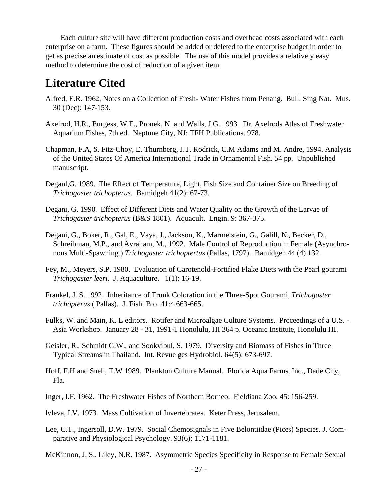<span id="page-26-0"></span>Each culture site will have different production costs and overhead costs associated with each enterprise on a farm. These figures should be added or deleted to the enterprise budget in order to get as precise an estimate of cost as possible. The use of this model provides a relatively easy method to determine the cost of reduction of a given item.

## **Literature Cited**

- Alfred, E.R. 1962, Notes on a Collection of Fresh- Water Fishes from Penang. Bull. Sing Nat. Mus. 30 (Dec): 147-153.
- Axelrod, H.R., Burgess, W.E., Pronek, N. and Walls, J.G. 1993. Dr. Axelrods Atlas of Freshwater Aquarium Fishes, 7th ed. Neptune City, NJ: TFH Publications. 978.
- Chapman, F.A, S. Fitz-Choy, E. Thurnberg, J.T. Rodrick, C.M Adams and M. Andre, 1994. Analysis of the United States Of America International Trade in Ornamental Fish. 54 pp. Unpublished manuscript.
- Deganl,G. 1989. The Effect of Temperature, Light, Fish Size and Container Size on Breeding of *Trichogaster trichopterus*. Bamidgeh 41(2): 67-73.
- Degani, G. 1990. Effect of Different Diets and Water Quality on the Growth of the Larvae of *Trichogaster trichopterus* (B&S 1801). Aquacult. Engin. 9: 367-375.
- Degani, G., Boker, R., Gal, E., Vaya, J., Jackson, K., Marmelstein, G., Galill, N., Becker, D., Schreibman, M.P., and Avraham, M., 1992. Male Control of Reproduction in Female (Asynchronous Multi-Spawning ) *Trichogaster trichoptertus* (Pallas, 1797). Bamidgeh 44 (4) 132.
- Fey, M., Meyers, S.P. 1980. Evaluation of Carotenold-Fortified Flake Diets with the Pearl gourami *Trichogaster leeri.* J. Aquaculture. 1(1): 16-19.
- Frankel, J. S. 1992. Inheritance of Trunk Coloration in the Three-Spot Gourami, *Trichogaster trichopterus* ( Pallas). J. Fish. Bio. 41:4 663-665.
- Fulks, W. and Main, K. L editors. Rotifer and Microalgae Culture Systems. Proceedings of a U.S. Asia Workshop. January 28 - 31, 1991-1 Honolulu, HI 364 p. Oceanic Institute, Honolulu HI.
- Geisler, R., Schmidt G.W., and Sookvibul, S. 1979. Diversity and Biomass of Fishes in Three Typical Streams in Thailand. Int. Revue ges Hydrobiol. 64(5): 673-697.
- Hoff, F.H and Snell, T.W 1989. Plankton Culture Manual. Florida Aqua Farms, Inc., Dade City, Fla.
- Inger, I.F. 1962. The Freshwater Fishes of Northern Borneo. Fieldiana Zoo. 45: 156-259.
- lvleva, I.V. 1973. Mass Cultivation of Invertebrates. Keter Press, Jerusalem.
- Lee, C.T., Ingersoll, D.W. 1979. Social Chemosignals in Five Belontiidae (Pices) Species. J. Comparative and Physiological Psychology. 93(6): 1171-1181.

McKinnon, J. S., Liley, N.R. 1987. Asymmetric Species Specificity in Response to Female Sexual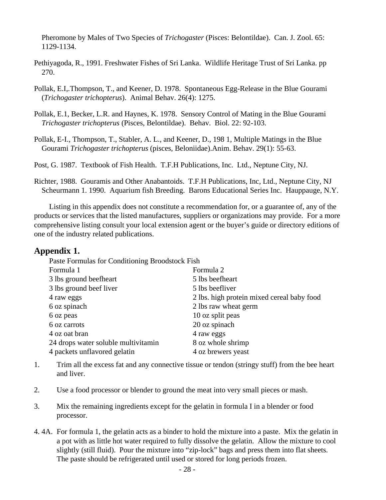<span id="page-27-0"></span>Pheromone by Males of Two Species of *Trichogaster* (Pisces: Belontildae). Can. J. Zool. 65: 1129-1134.

- Pethiyagoda, R., 1991. Freshwater Fishes of Sri Lanka. Wildlife Heritage Trust of Sri Lanka. pp 270.
- Pollak, E.I,.Thompson, T., and Keener, D. 1978. Spontaneous Egg-Release in the Blue Gourami (*Trichogaster trichopterus*). Animal Behav. 26(4): 1275.
- Pollak, E.1, Becker, L.R. and Haynes, K. 1978. Sensory Control of Mating in the Blue Gourami *Trichogaster trichopterus* (Pisces, Belontildae). Behav. Biol. 22: 92-103.
- Pollak, E-I., Thompson, T., Stabler, A. L., and Keener, D., 198 1, Multiple Matings in the Blue Gourami *Trichogaster trichopterus* (pisces, Beloniidae).Anim. Behav. 29(1): 55-63.

Post, G. 1987. Textbook of Fish Health. T.F.H Publications, Inc. Ltd., Neptune City, NJ.

Richter, 1988. Gouramis and Other Anabantoids. T.F.H Publications, Inc, Ltd., Neptune City, NJ Scheurmann 1. 1990. Aquarium fish Breeding. Barons Educational Series Inc. Hauppauge, N.Y.

Listing in this appendix does not constitute a recommendation for, or a guarantee of, any of the products or services that the listed manufactures, suppliers or organizations may provide. For a more comprehensive listing consult your local extension agent or the buyer's guide or directory editions of one of the industry related publications.

#### **Appendix 1.**

Paste Formulas for Conditioning Broodstock Fish

| Formula 1                           | Formula 2                                  |
|-------------------------------------|--------------------------------------------|
| 3 lbs ground beefheart              | 5 lbs beefheart                            |
| 3 lbs ground beef liver             | 5 lbs beefliver                            |
| 4 raw eggs                          | 2 lbs. high protein mixed cereal baby food |
| 6 oz spinach                        | 2 lbs raw wheat germ                       |
| 6 oz peas                           | 10 oz split peas                           |
| 6 oz carrots                        | 20 oz spinach                              |
| 4 oz oat bran                       | 4 raw eggs                                 |
| 24 drops water soluble multivitamin | 8 oz whole shrimp                          |
| 4 packets unflavored gelatin        | 4 oz brewers yeast                         |

- 1. Trim all the excess fat and any connective tissue or tendon (stringy stuff) from the bee heart and liver.
- 2. Use a food processor or blender to ground the meat into very small pieces or mash.
- 3. Mix the remaining ingredients except for the gelatin in formula I in a blender or food processor.
- 4. 4A. For formula 1, the gelatin acts as a binder to hold the mixture into a paste. Mix the gelatin in a pot with as little hot water required to fully dissolve the gelatin. Allow the mixture to cool slightly (still fluid). Pour the mixture into "zip-lock" bags and press them into flat sheets. The paste should be refrigerated until used or stored for long periods frozen.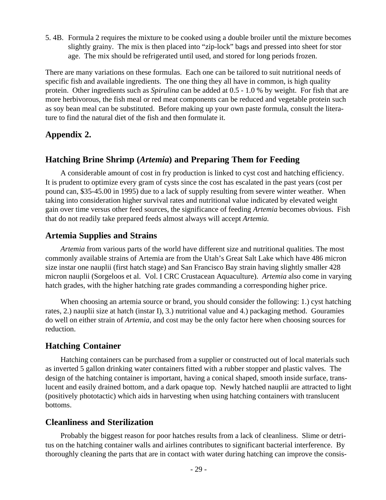<span id="page-28-0"></span>5. 4B. Formula 2 requires the mixture to be cooked using a double broiler until the mixture becomes slightly grainy. The mix is then placed into "zip-lock" bags and pressed into sheet for stor age. The mix should be refrigerated until used, and stored for long periods frozen.

There are many variations on these formulas. Each one can be tailored to suit nutritional needs of specific fish and available ingredients. The one thing they all have in common, is high quality protein. Other ingredients such as *Spirulina* can be added at 0.5 - 1.0 % by weight. For fish that are more herbivorous, the fish meal or red meat components can be reduced and vegetable protein such as soy bean meal can be substituted. Before making up your own paste formula, consult the literature to find the natural diet of the fish and then formulate it.

#### **Appendix 2.**

#### **Hatching Brine Shrimp (***Artemia***) and Preparing Them for Feeding**

A considerable amount of cost in fry production is linked to cyst cost and hatching efficiency. It is prudent to optimize every gram of cysts since the cost has escalated in the past years (cost per pound can, \$35-45.00 in 1995) due to a lack of supply resulting from severe winter weather. When taking into consideration higher survival rates and nutritional value indicated by elevated weight gain over time versus other feed sources, the significance of feeding *Artemia* becomes obvious. Fish that do not readily take prepared feeds almost always will accept *Artemia.*

#### **Artemia Supplies and Strains**

*Artemia* from various parts of the world have different size and nutritional qualities. The most commonly available strains of Artemia are from the Utah's Great Salt Lake which have 486 micron size instar one nauplii (first hatch stage) and San Francisco Bay strain having slightly smaller 428 micron nauplii (Sorgeloos et al. Vol. I CRC Crustacean Aquaculture). *Artemia* also come in varying hatch grades, with the higher hatching rate grades commanding a corresponding higher price.

When choosing an artemia source or brand, you should consider the following: 1.) cyst hatching rates, 2.) nauplii size at hatch (instar I), 3.) nutritional value and 4.) packaging method. Gouramies do well on either strain of *Artemia*, and cost may be the only factor here when choosing sources for reduction.

#### **Hatching Container**

Hatching containers can be purchased from a supplier or constructed out of local materials such as inverted 5 gallon drinking water containers fitted with a rubber stopper and plastic valves. The design of the hatching container is important, having a conical shaped, smooth inside surface, translucent and easily drained bottom, and a dark opaque top. Newly hatched nauplii are attracted to light (positively phototactic) which aids in harvesting when using hatching containers with translucent bottoms.

#### **Cleanliness and Sterilization**

Probably the biggest reason for poor hatches results from a lack of cleanliness. Slime or detritus on the hatching container walls and airlines contributes to significant bacterial interference. By thoroughly cleaning the parts that are in contact with water during hatching can improve the consis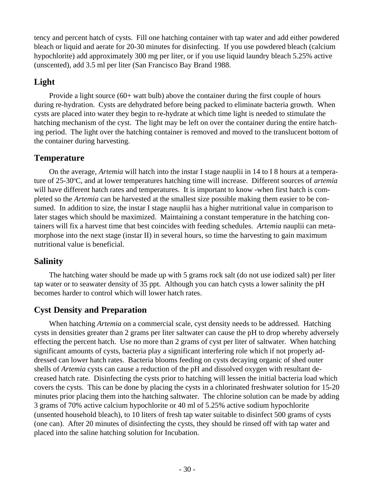tency and percent hatch of cysts. Fill one hatching container with tap water and add either powdered bleach or liquid and aerate for 20-30 minutes for disinfecting. If you use powdered bleach (calcium hypochlorite) add approximately 300 mg per liter, or if you use liquid laundry bleach 5.25% active (unscented), add 3.5 ml per liter (San Francisco Bay Brand 1988.

### **Light**

Provide a light source (60+ watt bulb) above the container during the first couple of hours during re-hydration. Cysts are dehydrated before being packed to eliminate bacteria growth. When cysts are placed into water they begin to re-hydrate at which time light is needed to stimulate the hatching mechanism of the cyst. The light may be left on over the container during the entire hatching period. The light over the hatching container is removed and moved to the translucent bottom of the container during harvesting.

### **Temperature**

On the average, *Artemia* will hatch into the instar I stage nauplii in 14 to I 8 hours at a temperature of 25-30°C, and at lower temperatures hatching time will increase. Different sources of *artemia* will have different hatch rates and temperatures. It is important to know -when first hatch is completed so the *Artemia* can be harvested at the smallest size possible making them easier to be consumed. In addition to size, the instar I stage nauplii has a higher nutritional value in comparison to later stages which should be maximized. Maintaining a constant temperature in the hatching containers will fix a harvest time that best coincides with feeding schedules. *Artemia* nauplii can metamorphose into the next stage (instar II) in several hours, so time the harvesting to gain maximum nutritional value is beneficial.

### **Salinity**

The hatching water should be made up with 5 grams rock salt (do not use iodized salt) per liter tap water or to seawater density of 35 ppt. Although you can hatch cysts a lower salinity the pH becomes harder to control which will lower hatch rates.

### **Cyst Density and Preparation**

When hatching *Artemia* on a commercial scale, cyst density needs to be addressed. Hatching cysts in densities greater than 2 grams per liter saltwater can cause the pH to drop whereby adversely effecting the percent hatch. Use no more than 2 grams of cyst per liter of saltwater. When hatching significant amounts of cysts, bacteria play a significant interfering role which if not properly addressed can lower hatch rates. Bacteria blooms feeding on cysts decaying organic of shed outer shells of *Artemia* cysts can cause a reduction of the pH and dissolved oxygen with resultant decreased hatch rate. Disinfecting the cysts prior to hatching will lessen the initial bacteria load which covers the cysts. This can be done by placing the cysts in a chlorinated freshwater solution for 15-20 minutes prior placing them into the hatching saltwater. The chlorine solution can be made by adding 3 grams of 70% active calcium hypochlorite or 40 ml of 5.25% active sodium hypochlorite (unsented household bleach), to 10 liters of fresh tap water suitable to disinfect 500 grams of cysts (one can). After 20 minutes of disinfecting the cysts, they should be rinsed off with tap water and placed into the saline hatching solution for Incubation.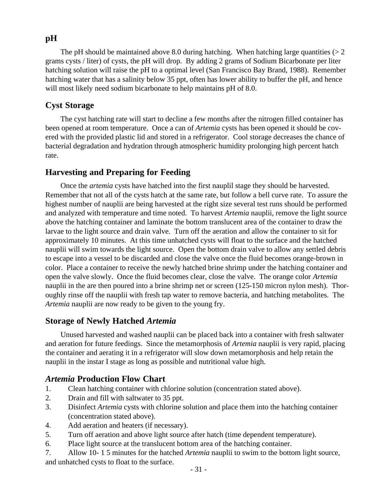### **pH**

The pH should be maintained above 8.0 during hatching. When hatching large quantities ( $> 2$ grams cysts / liter) of cysts, the pH will drop. By adding 2 grams of Sodium Bicarbonate per liter hatching solution will raise the pH to a optimal level (San Francisco Bay Brand, 1988). Remember hatching water that has a salinity below 35 ppt, often has lower ability to buffer the pH, and hence will most likely need sodium bicarbonate to help maintains pH of 8.0.

### **Cyst Storage**

The cyst hatching rate will start to decline a few months after the nitrogen filled container has been opened at room temperature. Once a can of *Artemia* cysts has been opened it should be covered with the provided plastic lid and stored in a refrigerator. Cool storage decreases the chance of bacterial degradation and hydration through atmospheric humidity prolonging high percent hatch rate.

### **Harvesting and Preparing for Feeding**

Once the *artemia* cysts have hatched into the first nauplil stage they should be harvested. Remember that not all of the cysts hatch at the same rate, but follow a bell curve rate. To assure the highest number of nauplii are being harvested at the right size several test runs should be performed and analyzed with temperature and time noted. To harvest *Artemia* nauplii, remove the light source above the hatching container and laminate the bottom translucent area of the container to draw the larvae to the light source and drain valve. Turn off the aeration and allow the container to sit for approximately 10 minutes. At this time unhatched cysts will float to the surface and the hatched nauplii will swim towards the light source. Open the bottom drain valve to allow any settled debris to escape into a vessel to be discarded and close the valve once the fluid becomes orange-brown in color. Place a container to receive the newly hatched brine shrimp under the hatching container and open the valve slowly. Once the fluid becomes clear, close the valve. The orange color *Artemia* nauplii in the are then poured into a brine shrimp net or screen (125-150 micron nylon mesh). Thoroughly rinse off the nauplii with fresh tap water to remove bacteria, and hatching metabolites. The *Artemia* nauplii are now ready to be given to the young fry.

### **Storage of Newly Hatched** *Artemia*

Unused harvested and washed nauplii can be placed back into a container with fresh saltwater and aeration for future feedings. Since the metamorphosis of *Artemia* nauplii is very rapid, placing the container and aerating it in a refrigerator will slow down metamorphosis and help retain the nauplii in the instar I stage as long as possible and nutritional value high.

### *Artemia* **Production Flow Chart**

- 1. Clean hatching container with chlorine solution (concentration stated above).
- 2. Drain and fill with saltwater to 35 ppt.
- 3. Disinfect *Artemia* cysts with chlorine solution and place them into the hatching container (concentration stated above).
- 4. Add aeration and heaters (if necessary).
- 5. Turn off aeration and above light source after hatch (time dependent temperature).
- 6. Place light source at the translucent bottom area of the hatching container.
- 7. Allow 10- 1 5 minutes for the hatched *Artemia* nauplii to swim to the bottom light source, and unhatched cysts to float to the surface.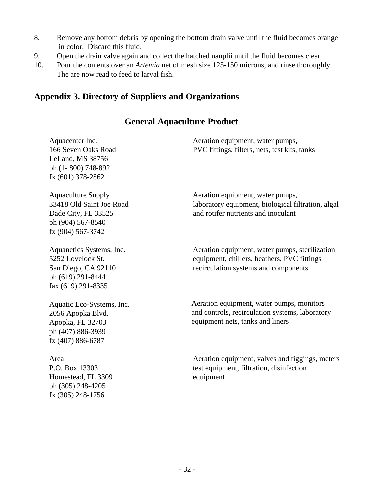- <span id="page-31-0"></span>8. Remove any bottom debris by opening the bottom drain valve until the fluid becomes orange in color. Discard this fluid.
- 9. Open the drain valve again and collect the hatched nauplii until the fluid becomes clear
- 10. Pour the contents over an *Artemia* net of mesh size 125-150 microns, and rinse thoroughly. The are now read to feed to larval fish.

### **Appendix 3. Directory of Suppliers and Organizations**

### **General Aquaculture Product**

| Aquacenter Inc.<br>166 Seven Oaks Road<br>LeLand, MS 38756<br>ph (1-800) 748-8921<br>fx (601) 378-2862                 | Aeration equipment, water pumps,<br>PVC fittings, filters, nets, test kits, tanks                                                     |
|------------------------------------------------------------------------------------------------------------------------|---------------------------------------------------------------------------------------------------------------------------------------|
| <b>Aquaculture Supply</b><br>33418 Old Saint Joe Road<br>Dade City, FL 33525<br>ph (904) 567-8540<br>fx (904) 567-3742 | Aeration equipment, water pumps,<br>laboratory equipment, biological filtration, algal<br>and rotifer nutrients and inoculant         |
| Aquanetics Systems, Inc.<br>5252 Lovelock St.<br>San Diego, CA 92110<br>ph (619) 291-8444<br>fax (619) 291-8335        | Aeration equipment, water pumps, sterilization<br>equipment, chillers, heathers, PVC fittings<br>recirculation systems and components |
| Aquatic Eco-Systems, Inc.<br>2056 Apopka Blvd.<br>Apopka, FL 32703<br>ph (407) 886-3939<br>fx (407) 886-6787           | Aeration equipment, water pumps, monitors<br>and controls, recirculation systems, laboratory<br>equipment nets, tanks and liners      |
| Area<br>P.O. Box 13303<br>Homestead, FL 3309<br>ph (305) 248-4205<br>fx (305) 248-1756                                 | Aeration equipment, valves and figgings, meters<br>test equipment, filtration, disinfection<br>equipment                              |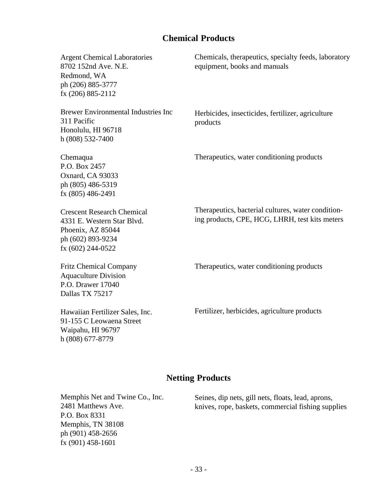### **Chemical Products**

| <b>Argent Chemical Laboratories</b><br>8702 152nd Ave. N.E.<br>Redmond, WA<br>ph (206) 885-3777<br>fx (206) 885-2112           | Chemicals, therapeutics, specialty feeds, laboratory<br>equipment, books and manuals                 |
|--------------------------------------------------------------------------------------------------------------------------------|------------------------------------------------------------------------------------------------------|
| <b>Brewer Environmental Industries Inc.</b><br>311 Pacific<br>Honolulu, HI 96718<br>h (808) 532-7400                           | Herbicides, insecticides, fertilizer, agriculture<br>products                                        |
| Chemaqua<br>P.O. Box 2457<br>Oxnard, CA 93033<br>ph (805) 486-5319<br>fx (805) 486-2491                                        | Therapeutics, water conditioning products                                                            |
| <b>Crescent Research Chemical</b><br>4331 E. Western Star Blvd.<br>Phoenix, AZ 85044<br>ph (602) 893-9234<br>fx (602) 244-0522 | Therapeutics, bacterial cultures, water condition-<br>ing products, CPE, HCG, LHRH, test kits meters |
| <b>Fritz Chemical Company</b><br><b>Aquaculture Division</b><br>P.O. Drawer 17040<br>Dallas TX 75217                           | Therapeutics, water conditioning products                                                            |
| Hawaiian Fertilizer Sales, Inc.<br>91-155 C Leowaena Street<br>Waipahu, HI 96797<br>h (808) 677-8779                           | Fertilizer, herbicides, agriculture products                                                         |

### **Netting Products**

Memphis Net and Twine Co., Inc. 2481 Matthews Ave. P.O. Box 8331 Memphis, TN 38108 ph (901) 458-2656 fx (901) 458-1601 Seines, dip nets, gill nets, floats, lead, aprons, knives, rope, baskets, commercial fishing supplies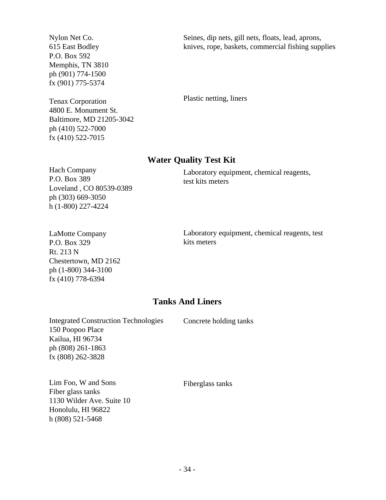Nylon Net Co. 615 East Bodley P.O. Box 592 Memphis, TN 3810 ph (901) 774-1500 fx (901) 775-5374

Tenax Corporation 4800 E. Monument St. Baltimore, MD 21205-3042 ph (410) 522-7000 fx (410) 522-7015

Seines, dip nets, gill nets, floats, lead, aprons, knives, rope, baskets, commercial fishing supplies

Plastic netting, liners

#### **Water Quality Test Kit**

Hach Company P.O. Box 389 Loveland , CO 80539-0389 ph (303) 669-3050 h (1-800) 227-4224

Laboratory equipment, chemical reagents, test kits meters

LaMotte Company P.O. Box 329 Rt. 213 N Chestertown, MD 2162 ph (1-800) 344-3100 fx (410) 778-6394

Laboratory equipment, chemical reagents, test kits meters

#### **Tanks And Liners**

Integrated Construction Technologies 150 Poopoo Place Kailua, HI 96734 ph (808) 261-1863 fx (808) 262-3828

Concrete holding tanks

Lim Foo, W and Sons Fiber glass tanks 1130 Wilder Ave. Suite 10 Honolulu, HI 96822 h (808) 521-5468

Fiberglass tanks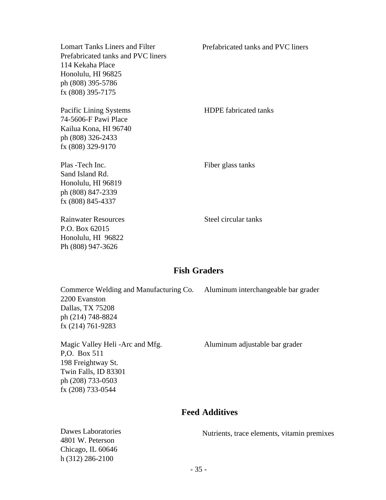Lomart Tanks Liners and Filter Prefabricated tanks and PVC liners 114 Kekaha Place Honolulu, HI 96825 ph (808) 395-5786 fx (808) 395-7175 Pacific Lining Systems HDPE fabricated tanks 74-5606-F Pawi Place Kailua Kona, HI 96740 ph (808) 326-2433 fx (808) 329-9170 Plas -Tech Inc. Fiber glass tanks Sand Island Rd. Honolulu, HI 96819 ph (808) 847-2339 fx (808) 845-4337 Rainwater Resources Steel circular tanks P.O. Box 62015 Honolulu, HI 96822 Ph (808) 947-3626 Prefabricated tanks and PVC liners

#### **Fish Graders**

| Commerce Welding and Manufacturing Co. Aluminum interchangeable bar grader |  |
|----------------------------------------------------------------------------|--|
| 2200 Evanston                                                              |  |
| Dallas, TX 75208                                                           |  |
| ph (214) 748-8824                                                          |  |
| $fx(214)761-9283$                                                          |  |
|                                                                            |  |

P,O. Box 511 198 Freightway St. Twin Falls, ID 83301 ph (208) 733-0503 fx (208) 733-0544

Magic Valley Heli -Arc and Mfg. Aluminum adjustable bar grader

#### **Feed Additives**

Dawes Laboratories 4801 W. Peterson Chicago, IL 60646 h (312) 286-2100 Nutrients, trace elements, vitamin premixes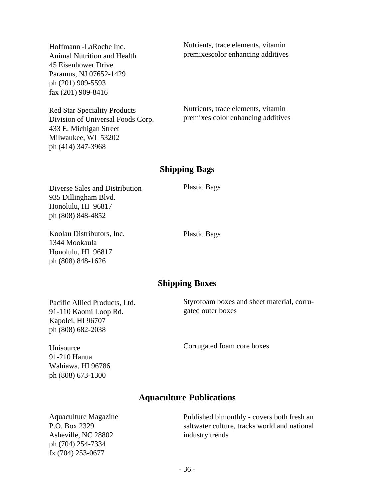Hoffmann -LaRoche Inc. Animal Nutrition and Health 45 Eisenhower Drive Paramus, NJ 07652-1429 ph (201) 909-5593 fax (201) 909-8416

Nutrients, trace elements, vitamin premixescolor enhancing additives

Red Star Speciality Products Division of Universal Foods Corp. 433 E. Michigan Street Milwaukee, WI 53202 ph (414) 347-3968

Nutrients, trace elements, vitamin premixes color enhancing additives

#### **Shipping Bags**

Diverse Sales and Distribution 935 Dillingham Blvd. Honolulu, HI 96817 ph (808) 848-4852

Koolau Distributors, Inc. 1344 Mookaula Honolulu, HI 96817 ph (808) 848-1626

Plastic Bags

Plastic Bags

#### **Shipping Boxes**

Pacific Allied Products, Ltd. 91-110 Kaomi Loop Rd. Kapolei, HI 96707 ph (808) 682-2038

Unisource 91-210 Hanua Styrofoam boxes and sheet material, corrugated outer boxes

Corrugated foam core boxes

#### **Aquaculture Publications**

Aquaculture Magazine P.O. Box 2329 Asheville, NC 28802 ph (704) 254-7334 fx (704) 253-0677

Wahiawa, HI 96786 ph (808) 673-1300

> Published bimonthly - covers both fresh an saltwater culture, tracks world and national industry trends